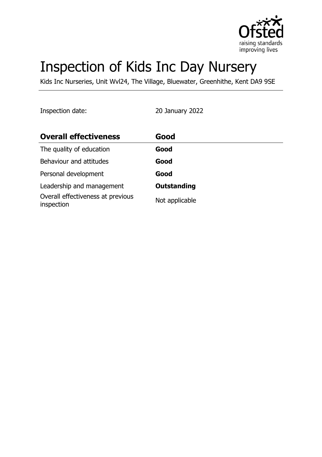

# Inspection of Kids Inc Day Nursery

Kids Inc Nurseries, Unit Wvl24, The Village, Bluewater, Greenhithe, Kent DA9 9SE

Inspection date: 20 January 2022

| <b>Overall effectiveness</b>                    | Good               |
|-------------------------------------------------|--------------------|
| The quality of education                        | Good               |
| Behaviour and attitudes                         | Good               |
| Personal development                            | Good               |
| Leadership and management                       | <b>Outstanding</b> |
| Overall effectiveness at previous<br>inspection | Not applicable     |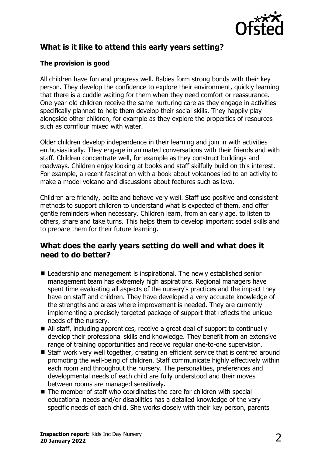

# **What is it like to attend this early years setting?**

#### **The provision is good**

All children have fun and progress well. Babies form strong bonds with their key person. They develop the confidence to explore their environment, quickly learning that there is a cuddle waiting for them when they need comfort or reassurance. One-year-old children receive the same nurturing care as they engage in activities specifically planned to help them develop their social skills. They happily play alongside other children, for example as they explore the properties of resources such as cornflour mixed with water.

Older children develop independence in their learning and join in with activities enthusiastically. They engage in animated conversations with their friends and with staff. Children concentrate well, for example as they construct buildings and roadways. Children enjoy looking at books and staff skilfully build on this interest. For example, a recent fascination with a book about volcanoes led to an activity to make a model volcano and discussions about features such as lava.

Children are friendly, polite and behave very well. Staff use positive and consistent methods to support children to understand what is expected of them, and offer gentle reminders when necessary. Children learn, from an early age, to listen to others, share and take turns. This helps them to develop important social skills and to prepare them for their future learning.

## **What does the early years setting do well and what does it need to do better?**

- Leadership and management is inspirational. The newly established senior management team has extremely high aspirations. Regional managers have spent time evaluating all aspects of the nursery's practices and the impact they have on staff and children. They have developed a very accurate knowledge of the strengths and areas where improvement is needed. They are currently implementing a precisely targeted package of support that reflects the unique needs of the nursery.
- $\blacksquare$  All staff, including apprentices, receive a great deal of support to continually develop their professional skills and knowledge. They benefit from an extensive range of training opportunities and receive regular one-to-one supervision.
- Staff work very well together, creating an efficient service that is centred around promoting the well-being of children. Staff communicate highly effectively within each room and throughout the nursery. The personalities, preferences and developmental needs of each child are fully understood and their moves between rooms are managed sensitively.
- $\blacksquare$  The member of staff who coordinates the care for children with special educational needs and/or disabilities has a detailed knowledge of the very specific needs of each child. She works closely with their key person, parents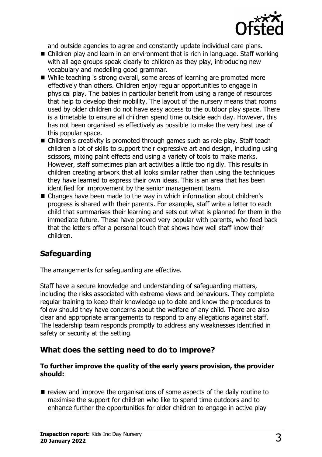

and outside agencies to agree and constantly update individual care plans.

- $\blacksquare$  Children play and learn in an environment that is rich in language. Staff working with all age groups speak clearly to children as they play, introducing new vocabulary and modelling good grammar.
- While teaching is strong overall, some areas of learning are promoted more effectively than others. Children enjoy regular opportunities to engage in physical play. The babies in particular benefit from using a range of resources that help to develop their mobility. The layout of the nursery means that rooms used by older children do not have easy access to the outdoor play space. There is a timetable to ensure all children spend time outside each day. However, this has not been organised as effectively as possible to make the very best use of this popular space.
- $\blacksquare$  Children's creativity is promoted through games such as role play. Staff teach children a lot of skills to support their expressive art and design, including using scissors, mixing paint effects and using a variety of tools to make marks. However, staff sometimes plan art activities a little too rigidly. This results in children creating artwork that all looks similar rather than using the techniques they have learned to express their own ideas. This is an area that has been identified for improvement by the senior management team.
- Changes have been made to the way in which information about children's progress is shared with their parents. For example, staff write a letter to each child that summarises their learning and sets out what is planned for them in the immediate future. These have proved very popular with parents, who feed back that the letters offer a personal touch that shows how well staff know their children.

# **Safeguarding**

The arrangements for safeguarding are effective.

Staff have a secure knowledge and understanding of safeguarding matters, including the risks associated with extreme views and behaviours. They complete regular training to keep their knowledge up to date and know the procedures to follow should they have concerns about the welfare of any child. There are also clear and appropriate arrangements to respond to any allegations against staff. The leadership team responds promptly to address any weaknesses identified in safety or security at the setting.

## **What does the setting need to do to improve?**

#### **To further improve the quality of the early years provision, the provider should:**

 $\blacksquare$  review and improve the organisations of some aspects of the daily routine to maximise the support for children who like to spend time outdoors and to enhance further the opportunities for older children to engage in active play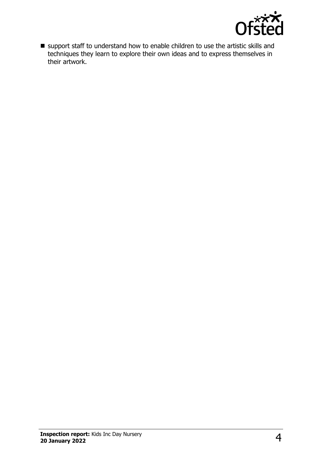

■ support staff to understand how to enable children to use the artistic skills and techniques they learn to explore their own ideas and to express themselves in their artwork.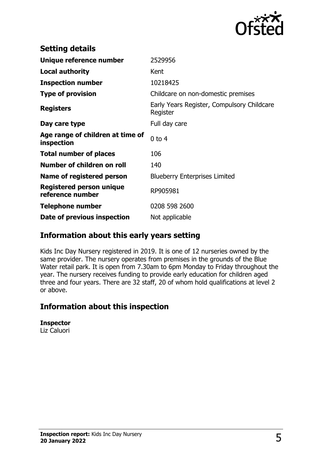

| <b>Setting details</b>                         |                                                        |
|------------------------------------------------|--------------------------------------------------------|
| Unique reference number                        | 2529956                                                |
| <b>Local authority</b>                         | Kent                                                   |
| <b>Inspection number</b>                       | 10218425                                               |
| <b>Type of provision</b>                       | Childcare on non-domestic premises                     |
| <b>Registers</b>                               | Early Years Register, Compulsory Childcare<br>Register |
| Day care type                                  | Full day care                                          |
| Age range of children at time of<br>inspection | $0$ to $4$                                             |
| <b>Total number of places</b>                  | 106                                                    |
| Number of children on roll                     | 140                                                    |
| Name of registered person                      | <b>Blueberry Enterprises Limited</b>                   |
| Registered person unique<br>reference number   | RP905981                                               |
| <b>Telephone number</b>                        | 0208 598 2600                                          |
| Date of previous inspection                    | Not applicable                                         |

## **Information about this early years setting**

Kids Inc Day Nursery registered in 2019. It is one of 12 nurseries owned by the same provider. The nursery operates from premises in the grounds of the Blue Water retail park. It is open from 7.30am to 6pm Monday to Friday throughout the year. The nursery receives funding to provide early education for children aged three and four years. There are 32 staff, 20 of whom hold qualifications at level 2 or above.

## **Information about this inspection**

```
Inspector
Liz Caluori
```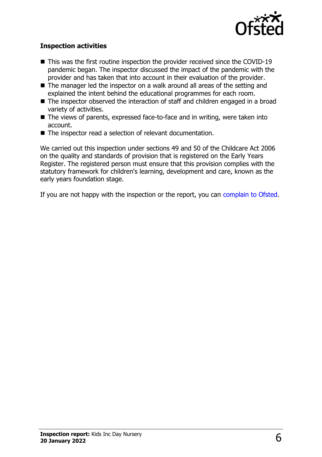

#### **Inspection activities**

- $\blacksquare$  This was the first routine inspection the provider received since the COVID-19 pandemic began. The inspector discussed the impact of the pandemic with the provider and has taken that into account in their evaluation of the provider.
- $\blacksquare$  The manager led the inspector on a walk around all areas of the setting and explained the intent behind the educational programmes for each room.
- $\blacksquare$  The inspector observed the interaction of staff and children engaged in a broad variety of activities.
- $\blacksquare$  The views of parents, expressed face-to-face and in writing, were taken into account.
- The inspector read a selection of relevant documentation.

We carried out this inspection under sections 49 and 50 of the Childcare Act 2006 on the quality and standards of provision that is registered on the Early Years Register. The registered person must ensure that this provision complies with the statutory framework for children's learning, development and care, known as the early years foundation stage.

If you are not happy with the inspection or the report, you can [complain to Ofsted](http://www.gov.uk/complain-ofsted-report).